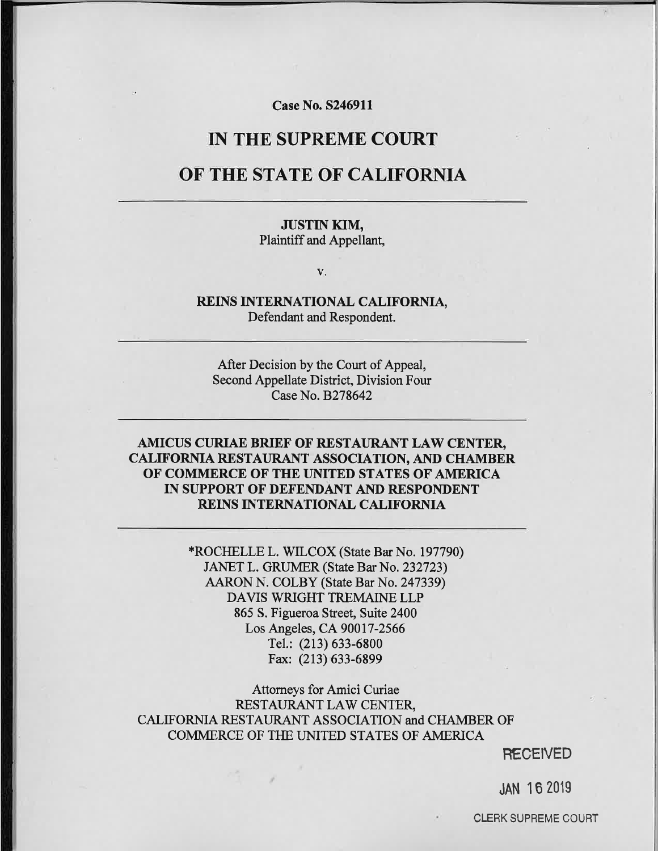**Case No. S246911** 

# **IN THE SUPREME COURT**

# OF THE STATE OF CALIFORNIA

# **JUSTIN KIM,**

Plaintiff and Appellant,

V.

#### REINS INTERNATIONAL CALIFORNIA, Defendant and Respondent.

After Decision by the Court of Appeal, Second Appellate District, Division Four Case No. B278642

### AMICUS CURIAE BRIEF OF RESTAURANT LAW CENTER, **CALIFORNIA RESTAURANT ASSOCIATION, AND CHAMBER** OF COMMERCE OF THE UNITED STATES OF AMERICA IN SUPPORT OF DEFENDANT AND RESPONDENT REINS INTERNATIONAL CALIFORNIA

\*ROCHELLE L. WILCOX (State Bar No. 197790) JANET L. GRUMER (State Bar No. 232723) AARON N. COLBY (State Bar No. 247339) DAVIS WRIGHT TREMAINE LLP 865 S. Figueroa Street, Suite 2400 Los Angeles, CA 90017-2566 Tel.: (213) 633-6800 Fax: (213) 633-6899

Attorneys for Amici Curiae RESTAURANT LAW CENTER, CALIFORNIA RESTAURANT ASSOCIATION and CHAMBER OF COMMERCE OF THE UNITED STATES OF AMERICA

**RECEIVED** 

**JAN 16 2019** 

**CLERK SUPREME COURT**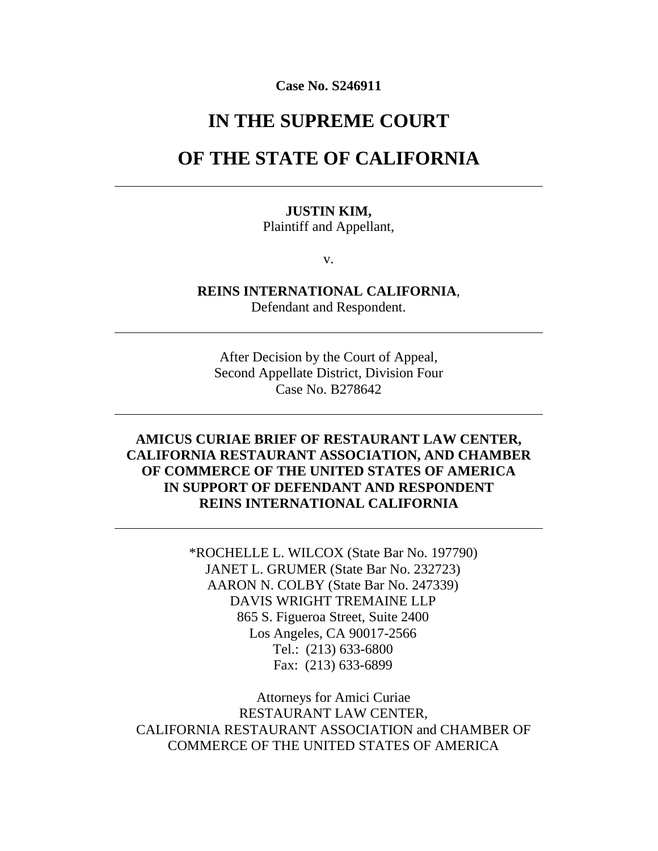#### **Case No. S246911**

# **IN THE SUPREME COURT**

# **OF THE STATE OF CALIFORNIA**

#### **JUSTIN KIM,**

Plaintiff and Appellant,

v.

**REINS INTERNATIONAL CALIFORNIA**, Defendant and Respondent.

After Decision by the Court of Appeal, Second Appellate District, Division Four Case No. B278642

# **AMICUS CURIAE BRIEF OF RESTAURANT LAW CENTER, CALIFORNIA RESTAURANT ASSOCIATION, AND CHAMBER OF COMMERCE OF THE UNITED STATES OF AMERICA IN SUPPORT OF DEFENDANT AND RESPONDENT REINS INTERNATIONAL CALIFORNIA**

\*ROCHELLE L. WILCOX (State Bar No. 197790) JANET L. GRUMER (State Bar No. 232723) AARON N. COLBY (State Bar No. 247339) DAVIS WRIGHT TREMAINE LLP 865 S. Figueroa Street, Suite 2400 Los Angeles, CA 90017-2566 Tel.: (213) 633-6800 Fax: (213) 633-6899

Attorneys for Amici Curiae RESTAURANT LAW CENTER, CALIFORNIA RESTAURANT ASSOCIATION and CHAMBER OF COMMERCE OF THE UNITED STATES OF AMERICA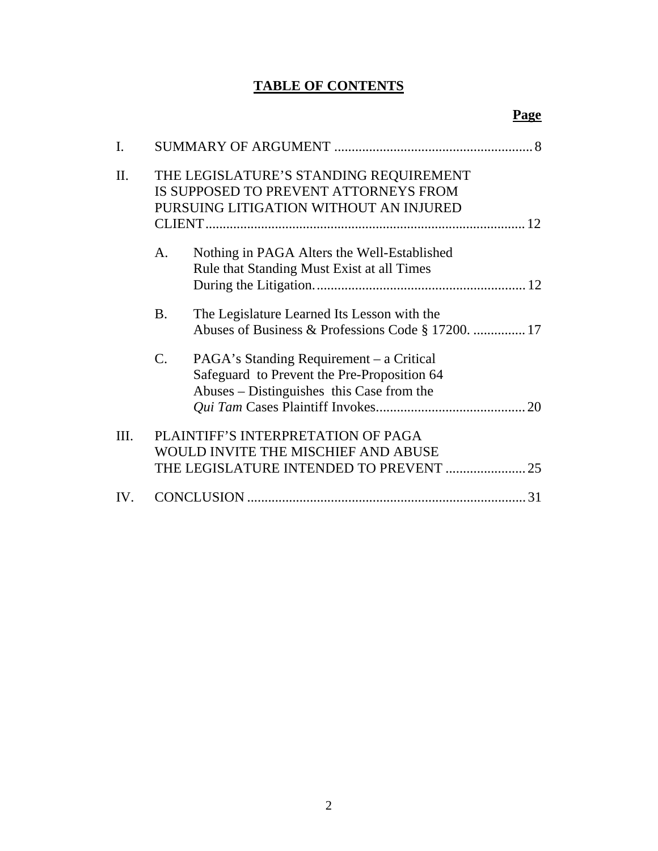# **TABLE OF CONTENTS**

| I.   |                                                                                                                      |                                                                                                                                      |
|------|----------------------------------------------------------------------------------------------------------------------|--------------------------------------------------------------------------------------------------------------------------------------|
| Π.   |                                                                                                                      | THE LEGISLATURE'S STANDING REQUIREMENT<br>IS SUPPOSED TO PREVENT ATTORNEYS FROM<br>PURSUING LITIGATION WITHOUT AN INJURED            |
|      | A.                                                                                                                   | Nothing in PAGA Alters the Well-Established<br>Rule that Standing Must Exist at all Times                                            |
|      | <b>B.</b>                                                                                                            | The Legislature Learned Its Lesson with the<br>Abuses of Business & Professions Code § 17200.  17                                    |
|      | C.                                                                                                                   | PAGA's Standing Requirement – a Critical<br>Safeguard to Prevent the Pre-Proposition 64<br>Abuses – Distinguishes this Case from the |
| III. | PLAINTIFF'S INTERPRETATION OF PAGA<br>WOULD INVITE THE MISCHIEF AND ABUSE<br>THE LEGISLATURE INTENDED TO PREVENT  25 |                                                                                                                                      |
| IV.  |                                                                                                                      | 31                                                                                                                                   |

# **Page**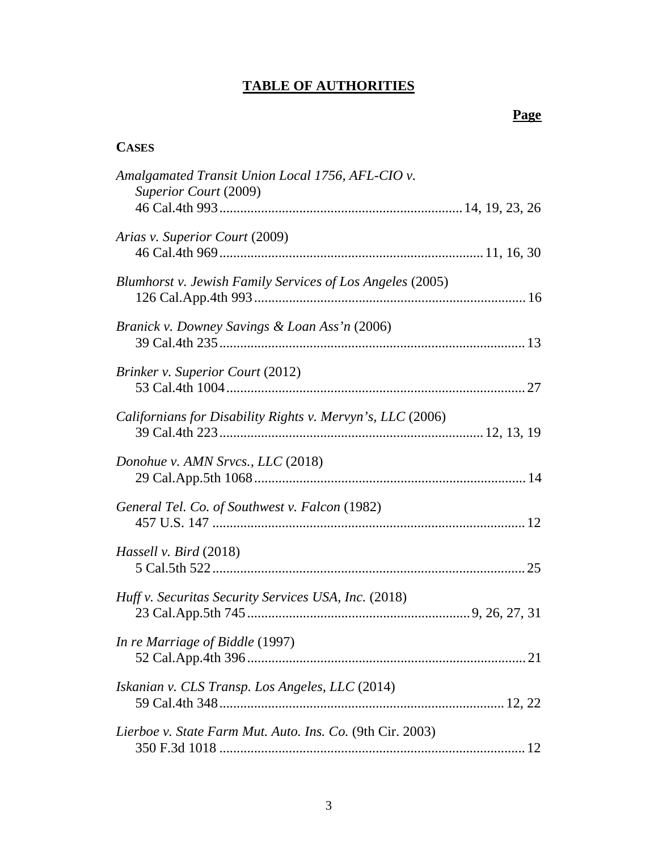# **TABLE OF AUTHORITIES**

# **Page**

# **CASES**

| Amalgamated Transit Union Local 1756, AFL-CIO v.<br>Superior Court (2009) |  |
|---------------------------------------------------------------------------|--|
|                                                                           |  |
| Arias v. Superior Court (2009)                                            |  |
| Blumhorst v. Jewish Family Services of Los Angeles (2005)                 |  |
| Branick v. Downey Savings & Loan Ass'n (2006)                             |  |
| <b>Brinker v. Superior Court (2012)</b>                                   |  |
| Californians for Disability Rights v. Mervyn's, LLC (2006)                |  |
| Donohue v. AMN Srvcs., LLC (2018)                                         |  |
| General Tel. Co. of Southwest v. Falcon (1982)                            |  |
| Hassell v. Bird (2018)                                                    |  |
| Huff v. Securitas Security Services USA, Inc. (2018)                      |  |
| In re Marriage of Biddle (1997)                                           |  |
| Iskanian v. CLS Transp. Los Angeles, LLC (2014)                           |  |
| Lierboe v. State Farm Mut. Auto. Ins. Co. (9th Cir. 2003)                 |  |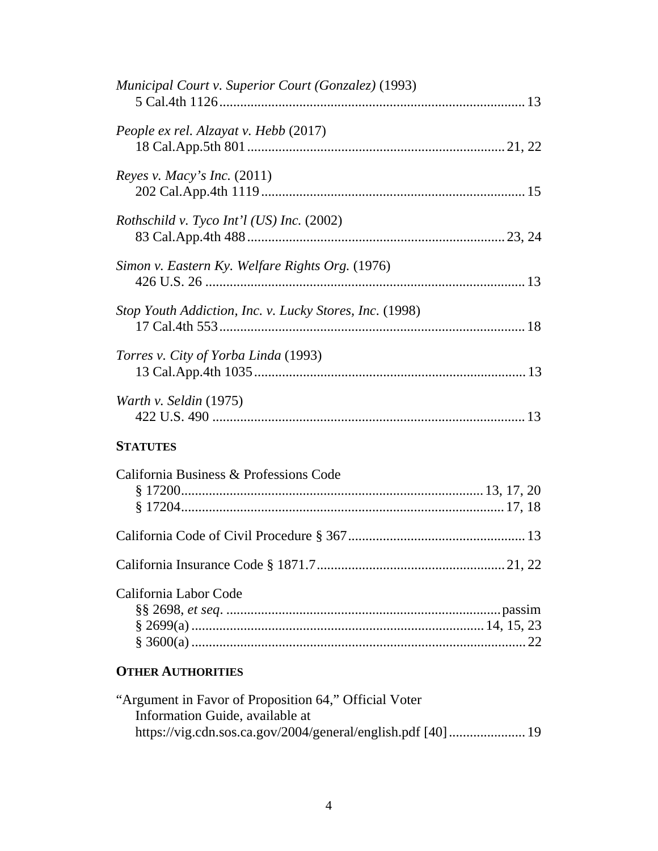| <b>OTHER AUTHORITIES</b>                                |
|---------------------------------------------------------|
| California Labor Code                                   |
|                                                         |
|                                                         |
| California Business & Professions Code                  |
| <b>STATUTES</b>                                         |
| Warth v. Seldin (1975)                                  |
| <i>Torres v. City of Yorba Linda</i> (1993)             |
| Stop Youth Addiction, Inc. v. Lucky Stores, Inc. (1998) |
| Simon v. Eastern Ky. Welfare Rights Org. (1976)         |
| <i>Rothschild v. Tyco Int'l (US) Inc. (2002)</i>        |
| Reyes v. Macy's Inc. $(2011)$                           |
| People ex rel. Alzayat v. Hebb (2017)                   |
| Municipal Court v. Superior Court (Gonzalez) (1993)     |

| "Argument in Favor of Proposition 64," Official Voter |  |
|-------------------------------------------------------|--|
| Information Guide, available at                       |  |
|                                                       |  |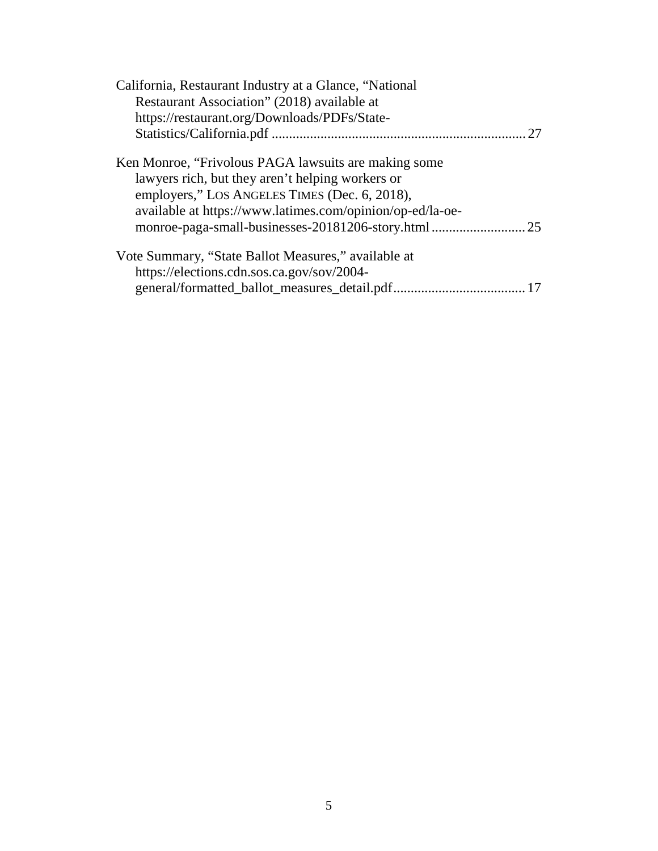| California, Restaurant Industry at a Glance, "National<br>Restaurant Association" (2018) available at<br>https://restaurant.org/Downloads/PDFs/State- |
|-------------------------------------------------------------------------------------------------------------------------------------------------------|
|                                                                                                                                                       |
| Ken Monroe, "Frivolous PAGA lawsuits are making some<br>lawyers rich, but they aren't helping workers or                                              |
| employers," LOS ANGELES TIMES (Dec. 6, 2018),<br>available at https://www.latimes.com/opinion/op-ed/la-oe-                                            |
|                                                                                                                                                       |
| Vote Summary, "State Ballot Measures," available at                                                                                                   |
| https://elections.cdn.sos.ca.gov/sov/2004-                                                                                                            |
|                                                                                                                                                       |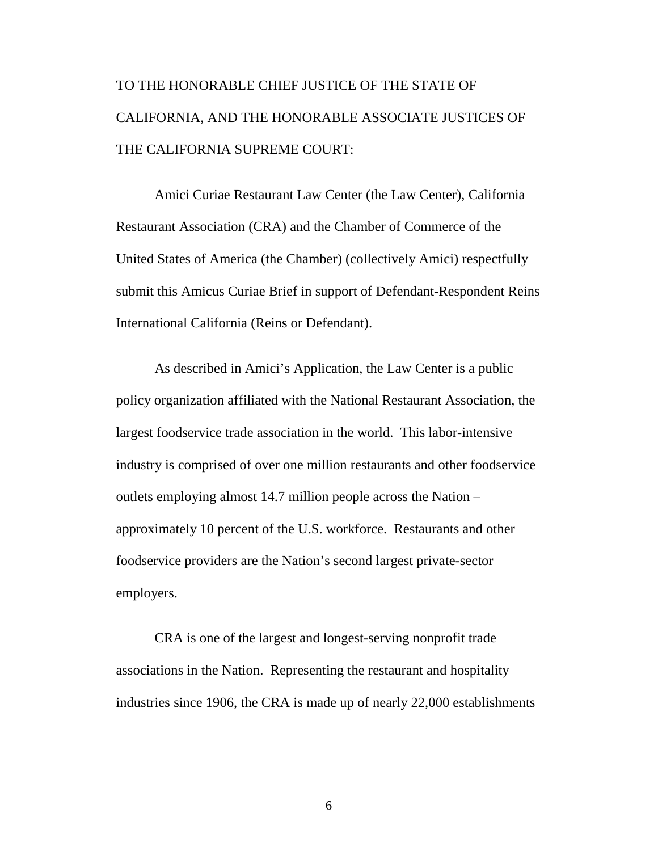# TO THE HONORABLE CHIEF JUSTICE OF THE STATE OF CALIFORNIA, AND THE HONORABLE ASSOCIATE JUSTICES OF THE CALIFORNIA SUPREME COURT:

Amici Curiae Restaurant Law Center (the Law Center), California Restaurant Association (CRA) and the Chamber of Commerce of the United States of America (the Chamber) (collectively Amici) respectfully submit this Amicus Curiae Brief in support of Defendant-Respondent Reins International California (Reins or Defendant).

As described in Amici's Application, the Law Center is a public policy organization affiliated with the National Restaurant Association, the largest foodservice trade association in the world. This labor-intensive industry is comprised of over one million restaurants and other foodservice outlets employing almost 14.7 million people across the Nation – approximately 10 percent of the U.S. workforce. Restaurants and other foodservice providers are the Nation's second largest private-sector employers.

CRA is one of the largest and longest-serving nonprofit trade associations in the Nation. Representing the restaurant and hospitality industries since 1906, the CRA is made up of nearly 22,000 establishments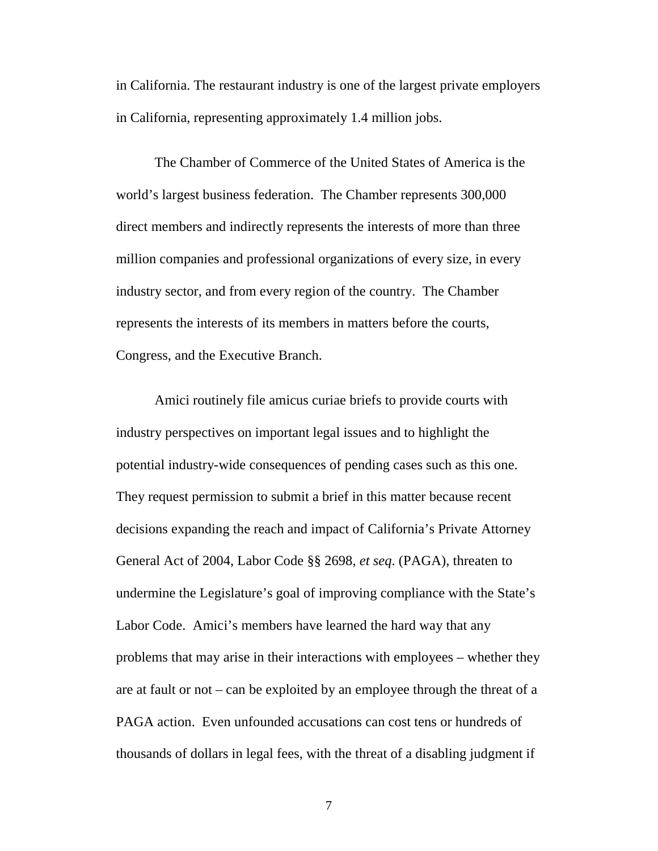in California. The restaurant industry is one of the largest private employers in California, representing approximately 1.4 million jobs.

The Chamber of Commerce of the United States of America is the world's largest business federation. The Chamber represents 300,000 direct members and indirectly represents the interests of more than three million companies and professional organizations of every size, in every industry sector, and from every region of the country. The Chamber represents the interests of its members in matters before the courts, Congress, and the Executive Branch.

Amici routinely file amicus curiae briefs to provide courts with industry perspectives on important legal issues and to highlight the potential industry-wide consequences of pending cases such as this one. They request permission to submit a brief in this matter because recent decisions expanding the reach and impact of California's Private Attorney General Act of 2004, Labor Code §§ 2698, *et seq*. (PAGA), threaten to undermine the Legislature's goal of improving compliance with the State's Labor Code. Amici's members have learned the hard way that any problems that may arise in their interactions with employees – whether they are at fault or not – can be exploited by an employee through the threat of a PAGA action. Even unfounded accusations can cost tens or hundreds of thousands of dollars in legal fees, with the threat of a disabling judgment if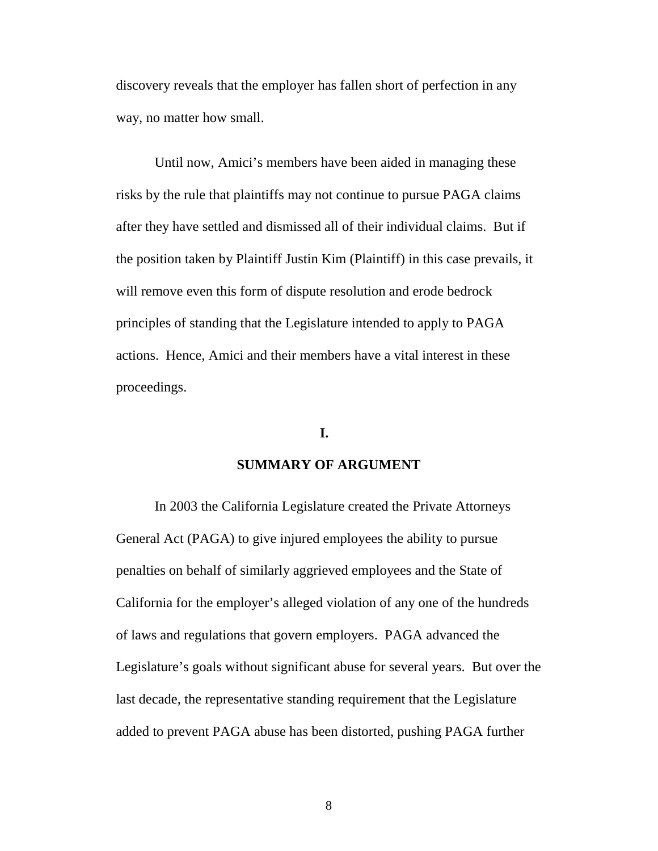discovery reveals that the employer has fallen short of perfection in any way, no matter how small.

Until now, Amici's members have been aided in managing these risks by the rule that plaintiffs may not continue to pursue PAGA claims after they have settled and dismissed all of their individual claims. But if the position taken by Plaintiff Justin Kim (Plaintiff) in this case prevails, it will remove even this form of dispute resolution and erode bedrock principles of standing that the Legislature intended to apply to PAGA actions. Hence, Amici and their members have a vital interest in these proceedings.

### **I.**

#### **SUMMARY OF ARGUMENT**

In 2003 the California Legislature created the Private Attorneys General Act (PAGA) to give injured employees the ability to pursue penalties on behalf of similarly aggrieved employees and the State of California for the employer's alleged violation of any one of the hundreds of laws and regulations that govern employers. PAGA advanced the Legislature's goals without significant abuse for several years. But over the last decade, the representative standing requirement that the Legislature added to prevent PAGA abuse has been distorted, pushing PAGA further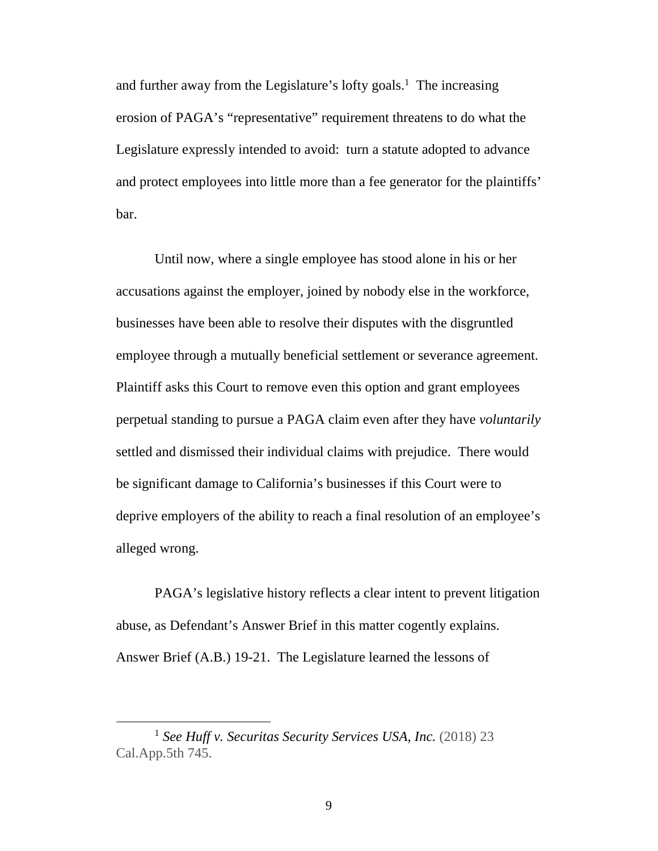and further away from the Legislature's lofty goals.<sup>1</sup> The increasing erosion of PAGA's "representative" requirement threatens to do what the Legislature expressly intended to avoid: turn a statute adopted to advance and protect employees into little more than a fee generator for the plaintiffs' bar.

Until now, where a single employee has stood alone in his or her accusations against the employer, joined by nobody else in the workforce, businesses have been able to resolve their disputes with the disgruntled employee through a mutually beneficial settlement or severance agreement. Plaintiff asks this Court to remove even this option and grant employees perpetual standing to pursue a PAGA claim even after they have *voluntarily* settled and dismissed their individual claims with prejudice. There would be significant damage to California's businesses if this Court were to deprive employers of the ability to reach a final resolution of an employee's alleged wrong.

PAGA's legislative history reflects a clear intent to prevent litigation abuse, as Defendant's Answer Brief in this matter cogently explains. Answer Brief (A.B.) 19-21. The Legislature learned the lessons of

<sup>&</sup>lt;sup>1</sup> See Huff v. Securitas Security Services USA, Inc. (2018) 23 Cal.App.5th 745.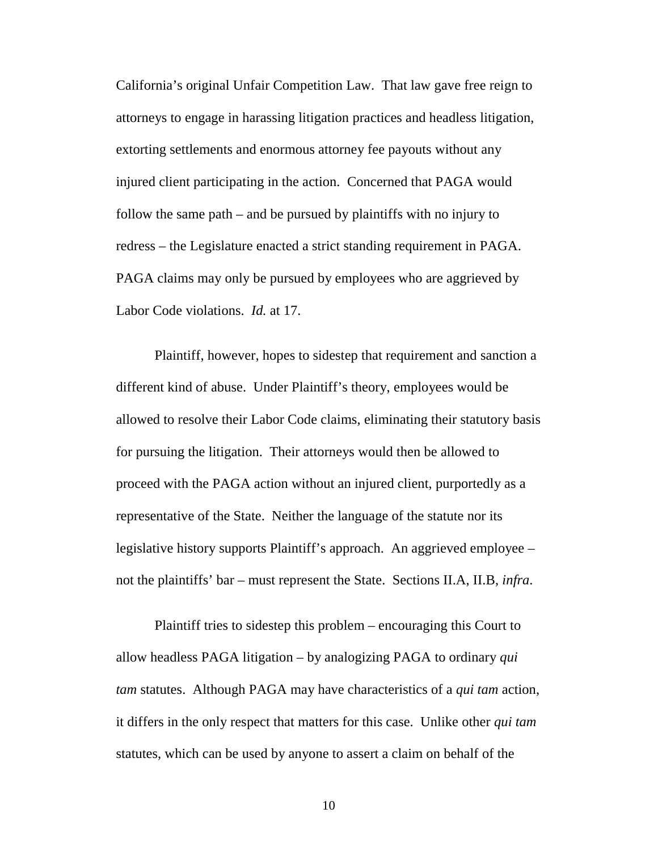California's original Unfair Competition Law. That law gave free reign to attorneys to engage in harassing litigation practices and headless litigation, extorting settlements and enormous attorney fee payouts without any injured client participating in the action. Concerned that PAGA would follow the same path – and be pursued by plaintiffs with no injury to redress – the Legislature enacted a strict standing requirement in PAGA. PAGA claims may only be pursued by employees who are aggrieved by Labor Code violations. *Id.* at 17.

Plaintiff, however, hopes to sidestep that requirement and sanction a different kind of abuse. Under Plaintiff's theory, employees would be allowed to resolve their Labor Code claims, eliminating their statutory basis for pursuing the litigation. Their attorneys would then be allowed to proceed with the PAGA action without an injured client, purportedly as a representative of the State. Neither the language of the statute nor its legislative history supports Plaintiff's approach. An aggrieved employee – not the plaintiffs' bar – must represent the State. Sections II.A, II.B, *infra*.

Plaintiff tries to sidestep this problem – encouraging this Court to allow headless PAGA litigation – by analogizing PAGA to ordinary *qui tam* statutes. Although PAGA may have characteristics of a *qui tam* action, it differs in the only respect that matters for this case. Unlike other *qui tam* statutes, which can be used by anyone to assert a claim on behalf of the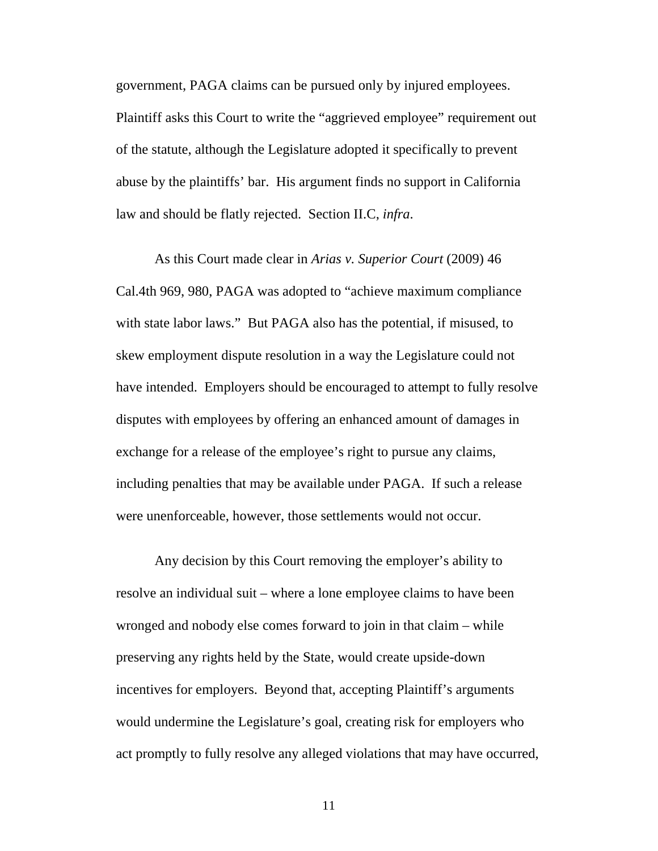government, PAGA claims can be pursued only by injured employees. Plaintiff asks this Court to write the "aggrieved employee" requirement out of the statute, although the Legislature adopted it specifically to prevent abuse by the plaintiffs' bar. His argument finds no support in California law and should be flatly rejected. Section II.C, *infra*.

As this Court made clear in *Arias v. Superior Court* (2009) 46 Cal.4th 969, 980, PAGA was adopted to "achieve maximum compliance with state labor laws." But PAGA also has the potential, if misused, to skew employment dispute resolution in a way the Legislature could not have intended. Employers should be encouraged to attempt to fully resolve disputes with employees by offering an enhanced amount of damages in exchange for a release of the employee's right to pursue any claims, including penalties that may be available under PAGA. If such a release were unenforceable, however, those settlements would not occur.

Any decision by this Court removing the employer's ability to resolve an individual suit – where a lone employee claims to have been wronged and nobody else comes forward to join in that claim – while preserving any rights held by the State, would create upside-down incentives for employers. Beyond that, accepting Plaintiff's arguments would undermine the Legislature's goal, creating risk for employers who act promptly to fully resolve any alleged violations that may have occurred,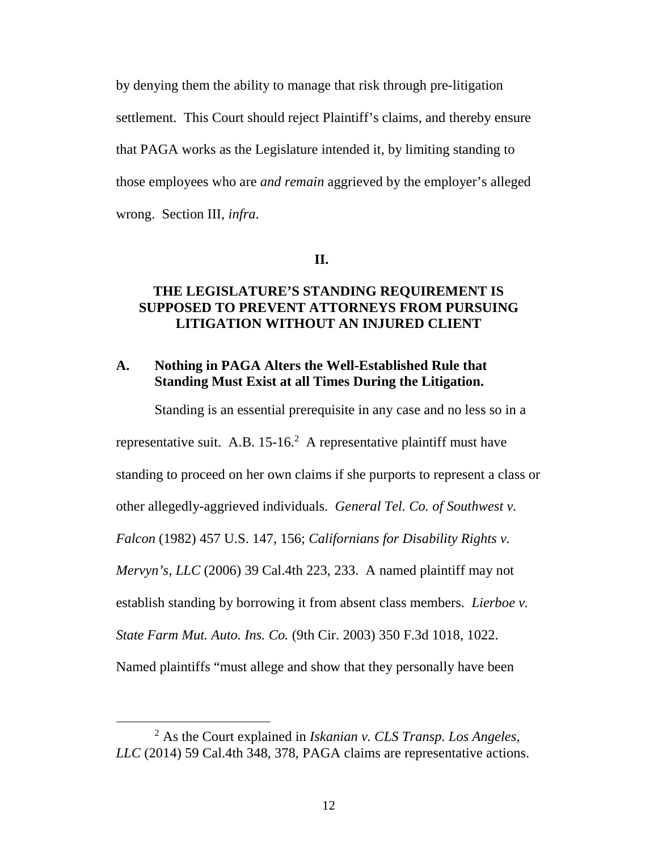by denying them the ability to manage that risk through pre-litigation settlement. This Court should reject Plaintiff's claims, and thereby ensure that PAGA works as the Legislature intended it, by limiting standing to those employees who are *and remain* aggrieved by the employer's alleged wrong. Section III, *infra*.

#### **II.**

### **THE LEGISLATURE'S STANDING REQUIREMENT IS SUPPOSED TO PREVENT ATTORNEYS FROM PURSUING LITIGATION WITHOUT AN INJURED CLIENT**

### **A. Nothing in PAGA Alters the Well-Established Rule that Standing Must Exist at all Times During the Litigation.**

Standing is an essential prerequisite in any case and no less so in a representative suit. A.B.  $15{\text -}16$ <sup>2</sup> A representative plaintiff must have standing to proceed on her own claims if she purports to represent a class or other allegedly-aggrieved individuals. *General Tel. Co. of Southwest v. Falcon* (1982) 457 U.S. 147, 156; *Californians for Disability Rights v. Mervyn's, LLC* (2006) 39 Cal.4th 223, 233. A named plaintiff may not establish standing by borrowing it from absent class members. *Lierboe v. State Farm Mut. Auto. Ins. Co.* (9th Cir. 2003) 350 F.3d 1018, 1022. Named plaintiffs "must allege and show that they personally have been

<sup>2</sup> As the Court explained in *Iskanian v. CLS Transp. Los Angeles, LLC* (2014) 59 Cal.4th 348, 378, PAGA claims are representative actions.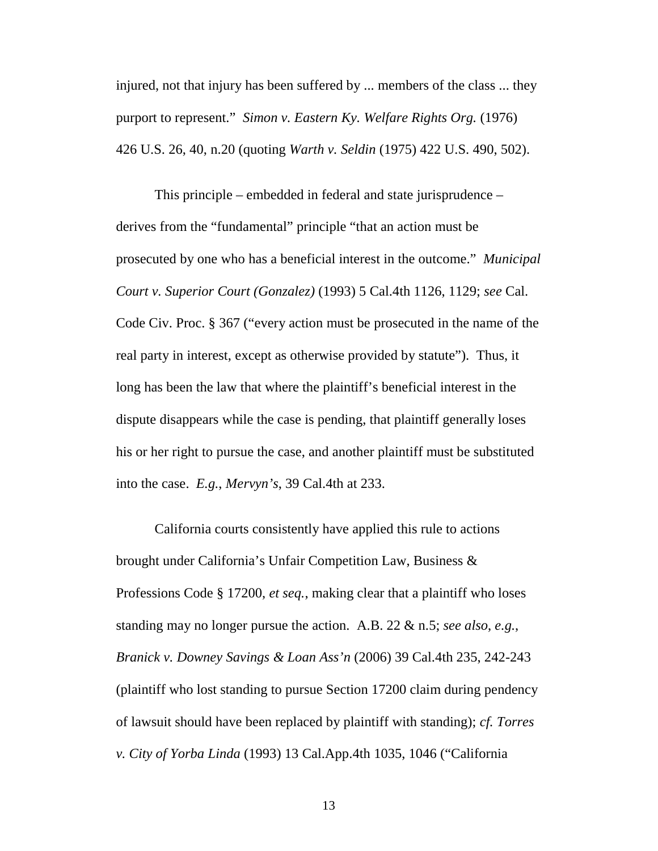injured, not that injury has been suffered by ... members of the class ... they purport to represent." *Simon v. Eastern Ky. Welfare Rights Org.* (1976) 426 U.S. 26, 40, n.20 (quoting *Warth v. Seldin* (1975) 422 U.S. 490, 502).

This principle – embedded in federal and state jurisprudence – derives from the "fundamental" principle "that an action must be prosecuted by one who has a beneficial interest in the outcome." *Municipal Court v. Superior Court (Gonzalez)* (1993) 5 Cal.4th 1126, 1129; *see* Cal. Code Civ. Proc. § 367 ("every action must be prosecuted in the name of the real party in interest, except as otherwise provided by statute"). Thus, it long has been the law that where the plaintiff's beneficial interest in the dispute disappears while the case is pending, that plaintiff generally loses his or her right to pursue the case, and another plaintiff must be substituted into the case. *E.g.*, *Mervyn's*, 39 Cal.4th at 233.

California courts consistently have applied this rule to actions brought under California's Unfair Competition Law, Business & Professions Code § 17200, *et seq.*, making clear that a plaintiff who loses standing may no longer pursue the action. A.B. 22 & n.5; *see also*, *e.g.*, *Branick v. Downey Savings & Loan Ass'n* (2006) 39 Cal.4th 235, 242-243 (plaintiff who lost standing to pursue Section 17200 claim during pendency of lawsuit should have been replaced by plaintiff with standing); *cf. Torres v. City of Yorba Linda* (1993) 13 Cal.App.4th 1035, 1046 ("California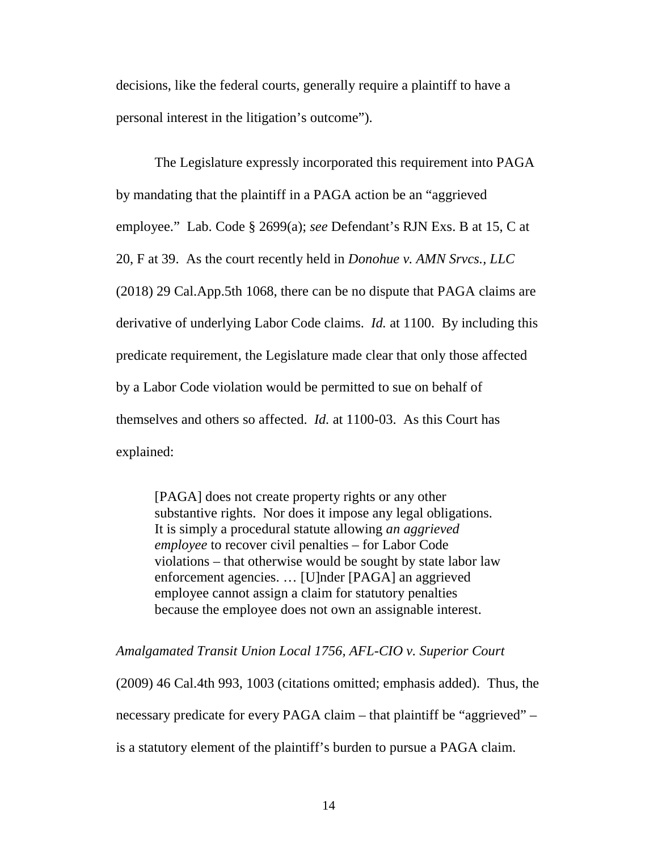decisions, like the federal courts, generally require a plaintiff to have a personal interest in the litigation's outcome").

The Legislature expressly incorporated this requirement into PAGA by mandating that the plaintiff in a PAGA action be an "aggrieved employee." Lab. Code § 2699(a); *see* Defendant's RJN Exs. B at 15, C at 20, F at 39. As the court recently held in *Donohue v. AMN Srvcs., LLC* (2018) 29 Cal.App.5th 1068, there can be no dispute that PAGA claims are derivative of underlying Labor Code claims. *Id.* at 1100. By including this predicate requirement, the Legislature made clear that only those affected by a Labor Code violation would be permitted to sue on behalf of themselves and others so affected. *Id.* at 1100-03. As this Court has explained:

[PAGA] does not create property rights or any other substantive rights. Nor does it impose any legal obligations. It is simply a procedural statute allowing *an aggrieved employee* to recover civil penalties – for Labor Code violations – that otherwise would be sought by state labor law enforcement agencies. … [U]nder [PAGA] an aggrieved employee cannot assign a claim for statutory penalties because the employee does not own an assignable interest.

*Amalgamated Transit Union Local 1756, AFL-CIO v. Superior Court*

(2009) 46 Cal.4th 993, 1003 (citations omitted; emphasis added). Thus, the necessary predicate for every PAGA claim – that plaintiff be "aggrieved" – is a statutory element of the plaintiff's burden to pursue a PAGA claim.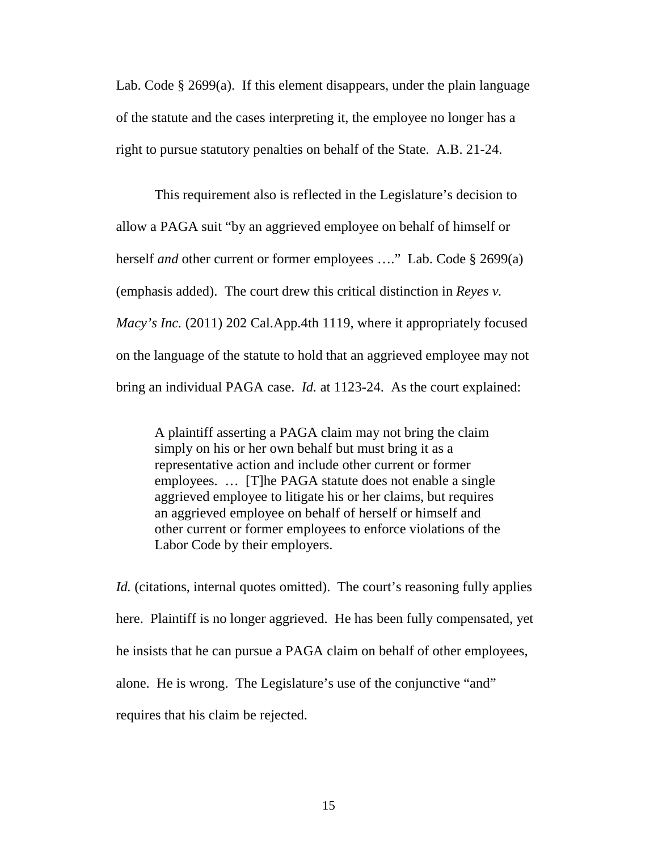Lab. Code § 2699(a). If this element disappears, under the plain language of the statute and the cases interpreting it, the employee no longer has a right to pursue statutory penalties on behalf of the State. A.B. 21-24.

This requirement also is reflected in the Legislature's decision to allow a PAGA suit "by an aggrieved employee on behalf of himself or herself *and* other current or former employees …." Lab. Code § 2699(a) (emphasis added). The court drew this critical distinction in *Reyes v. Macy's Inc.* (2011) 202 Cal.App.4th 1119, where it appropriately focused on the language of the statute to hold that an aggrieved employee may not bring an individual PAGA case. *Id.* at 1123-24. As the court explained:

A plaintiff asserting a PAGA claim may not bring the claim simply on his or her own behalf but must bring it as a representative action and include other current or former employees. … [T]he PAGA statute does not enable a single aggrieved employee to litigate his or her claims, but requires an aggrieved employee on behalf of herself or himself and other current or former employees to enforce violations of the Labor Code by their employers.

*Id.* (citations, internal quotes omitted). The court's reasoning fully applies here. Plaintiff is no longer aggrieved. He has been fully compensated, yet he insists that he can pursue a PAGA claim on behalf of other employees, alone. He is wrong. The Legislature's use of the conjunctive "and" requires that his claim be rejected.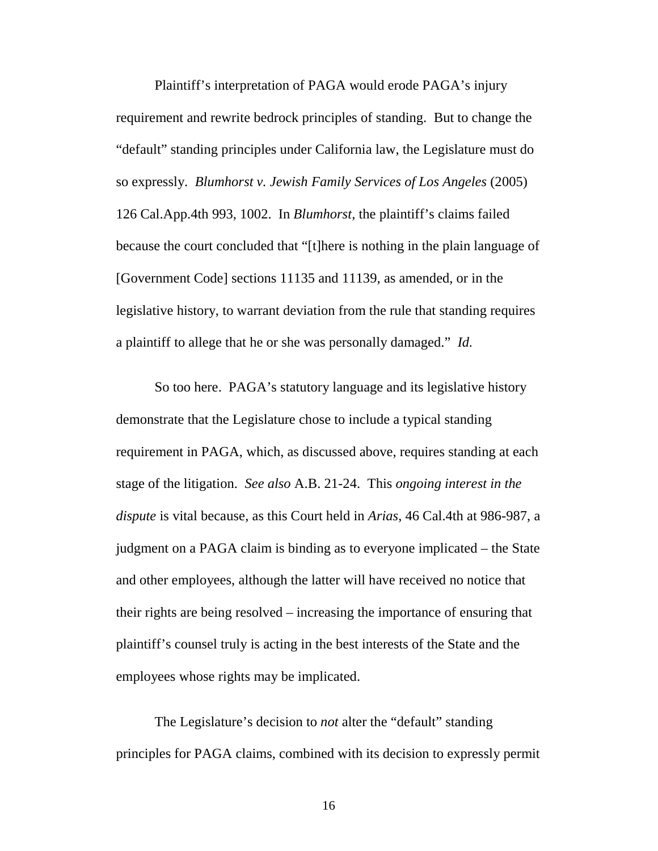Plaintiff's interpretation of PAGA would erode PAGA's injury requirement and rewrite bedrock principles of standing. But to change the "default" standing principles under California law, the Legislature must do so expressly. *Blumhorst v. Jewish Family Services of Los Angeles* (2005) 126 Cal.App.4th 993, 1002. In *Blumhorst,* the plaintiff's claims failed because the court concluded that "[t]here is nothing in the plain language of [Government Code] sections 11135 and 11139, as amended, or in the legislative history, to warrant deviation from the rule that standing requires a plaintiff to allege that he or she was personally damaged." *Id.*

So too here. PAGA's statutory language and its legislative history demonstrate that the Legislature chose to include a typical standing requirement in PAGA, which, as discussed above, requires standing at each stage of the litigation. *See also* A.B. 21-24. This *ongoing interest in the dispute* is vital because, as this Court held in *Arias*, 46 Cal.4th at 986-987, a judgment on a PAGA claim is binding as to everyone implicated – the State and other employees, although the latter will have received no notice that their rights are being resolved – increasing the importance of ensuring that plaintiff's counsel truly is acting in the best interests of the State and the employees whose rights may be implicated.

The Legislature's decision to *not* alter the "default" standing principles for PAGA claims, combined with its decision to expressly permit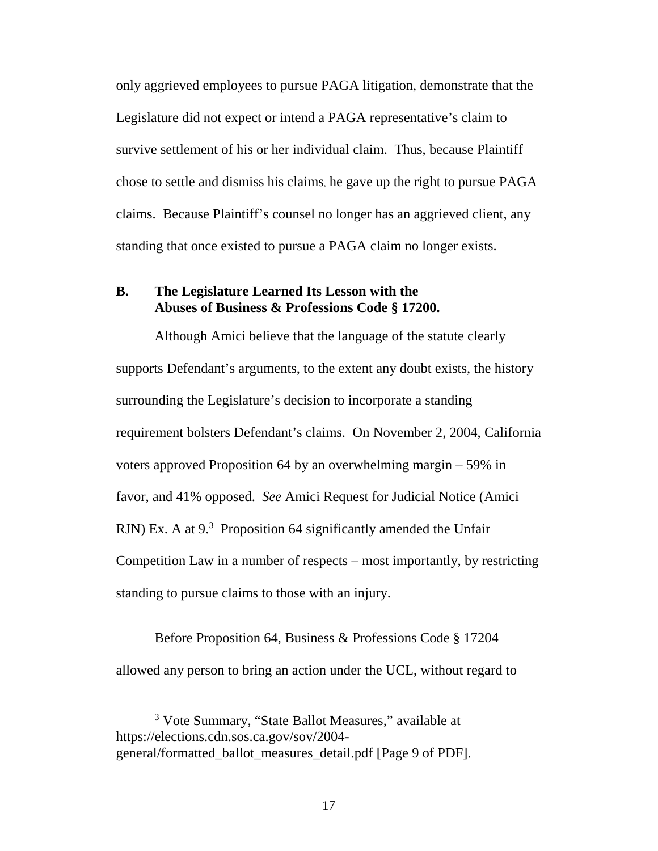only aggrieved employees to pursue PAGA litigation, demonstrate that the Legislature did not expect or intend a PAGA representative's claim to survive settlement of his or her individual claim. Thus, because Plaintiff chose to settle and dismiss his claims, he gave up the right to pursue PAGA claims. Because Plaintiff's counsel no longer has an aggrieved client, any standing that once existed to pursue a PAGA claim no longer exists.

### **B. The Legislature Learned Its Lesson with the Abuses of Business & Professions Code § 17200.**

Although Amici believe that the language of the statute clearly supports Defendant's arguments, to the extent any doubt exists, the history surrounding the Legislature's decision to incorporate a standing requirement bolsters Defendant's claims. On November 2, 2004, California voters approved Proposition 64 by an overwhelming margin – 59% in favor, and 41% opposed. *See* Amici Request for Judicial Notice (Amici RJN) Ex. A at 9.<sup>3</sup> Proposition 64 significantly amended the Unfair Competition Law in a number of respects – most importantly, by restricting standing to pursue claims to those with an injury.

Before Proposition 64, Business & Professions Code § 17204 allowed any person to bring an action under the UCL, without regard to

<sup>&</sup>lt;sup>3</sup> Vote Summary, "State Ballot Measures," available at https://elections.cdn.sos.ca.gov/sov/2004 general/formatted\_ballot\_measures\_detail.pdf [Page 9 of PDF].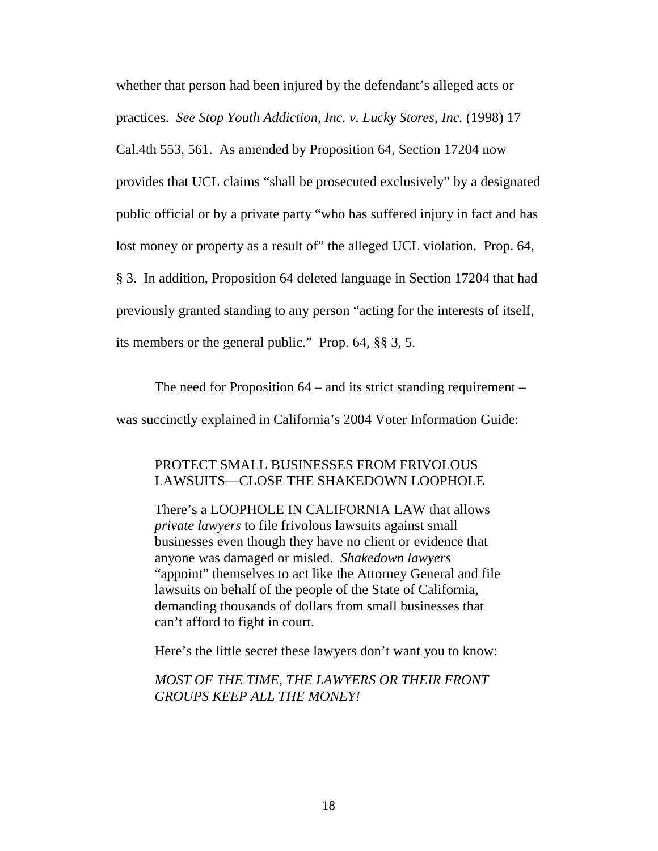whether that person had been injured by the defendant's alleged acts or practices. *See Stop Youth Addiction, Inc. v. Lucky Stores, Inc.* (1998) 17

Cal.4th 553, 561. As amended by Proposition 64, Section 17204 now

provides that UCL claims "shall be prosecuted exclusively" by a designated

public official or by a private party "who has suffered injury in fact and has

lost money or property as a result of" the alleged UCL violation. Prop. 64,

§ 3. In addition, Proposition 64 deleted language in Section 17204 that had

previously granted standing to any person "acting for the interests of itself,

its members or the general public." Prop. 64, §§ 3, 5.

The need for Proposition 64 – and its strict standing requirement – was succinctly explained in California's 2004 Voter Information Guide:

# PROTECT SMALL BUSINESSES FROM FRIVOLOUS LAWSUITS—CLOSE THE SHAKEDOWN LOOPHOLE

There's a LOOPHOLE IN CALIFORNIA LAW that allows *private lawyers* to file frivolous lawsuits against small businesses even though they have no client or evidence that anyone was damaged or misled. *Shakedown lawyers* "appoint" themselves to act like the Attorney General and file lawsuits on behalf of the people of the State of California, demanding thousands of dollars from small businesses that can't afford to fight in court.

Here's the little secret these lawyers don't want you to know:

*MOST OF THE TIME, THE LAWYERS OR THEIR FRONT GROUPS KEEP ALL THE MONEY!*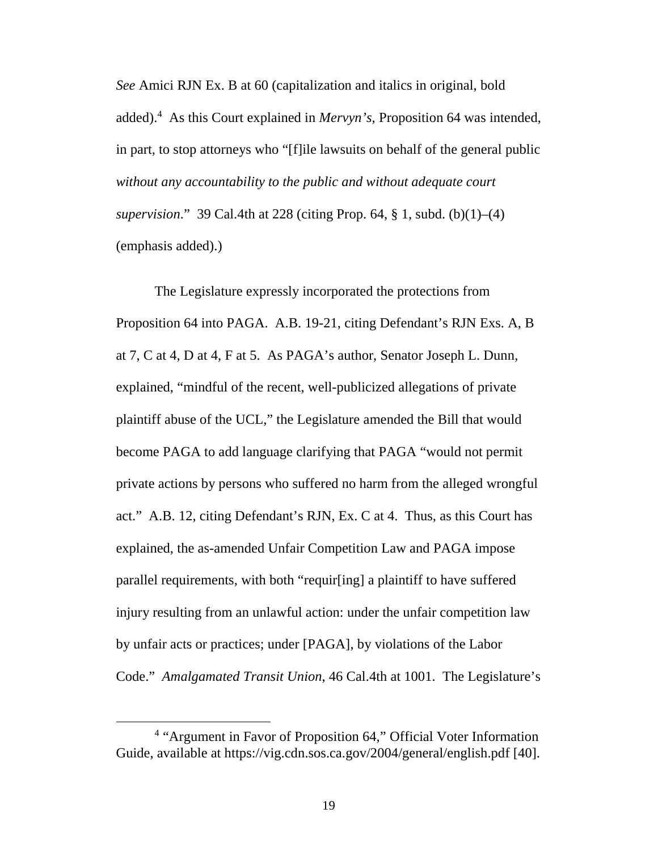*See* Amici RJN Ex. B at 60 (capitalization and italics in original, bold added).<sup>4</sup> As this Court explained in *Mervyn's*, Proposition 64 was intended, in part, to stop attorneys who "[f]ile lawsuits on behalf of the general public *without any accountability to the public and without adequate court supervision*." 39 Cal.4th at 228 (citing Prop. 64, § 1, subd. (b)(1)–(4) (emphasis added).)

The Legislature expressly incorporated the protections from Proposition 64 into PAGA. A.B. 19-21, citing Defendant's RJN Exs. A, B at 7, C at 4, D at 4, F at 5. As PAGA's author, Senator Joseph L. Dunn, explained, "mindful of the recent, well-publicized allegations of private plaintiff abuse of the UCL," the Legislature amended the Bill that would become PAGA to add language clarifying that PAGA "would not permit private actions by persons who suffered no harm from the alleged wrongful act." A.B. 12, citing Defendant's RJN, Ex. C at 4. Thus, as this Court has explained, the as-amended Unfair Competition Law and PAGA impose parallel requirements, with both "requir[ing] a plaintiff to have suffered injury resulting from an unlawful action: under the unfair competition law by unfair acts or practices; under [PAGA], by violations of the Labor Code." *Amalgamated Transit Union*, 46 Cal.4th at 1001. The Legislature's

<sup>&</sup>lt;sup>4</sup> "Argument in Favor of Proposition 64," Official Voter Information Guide, available at https://vig.cdn.sos.ca.gov/2004/general/english.pdf [40].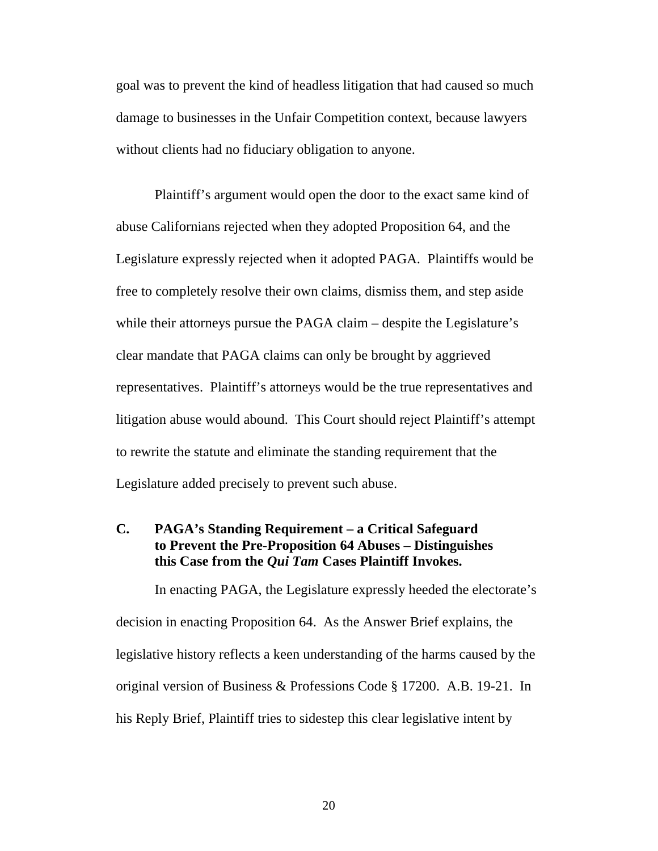goal was to prevent the kind of headless litigation that had caused so much damage to businesses in the Unfair Competition context, because lawyers without clients had no fiduciary obligation to anyone.

Plaintiff's argument would open the door to the exact same kind of abuse Californians rejected when they adopted Proposition 64, and the Legislature expressly rejected when it adopted PAGA. Plaintiffs would be free to completely resolve their own claims, dismiss them, and step aside while their attorneys pursue the PAGA claim – despite the Legislature's clear mandate that PAGA claims can only be brought by aggrieved representatives. Plaintiff's attorneys would be the true representatives and litigation abuse would abound. This Court should reject Plaintiff's attempt to rewrite the statute and eliminate the standing requirement that the Legislature added precisely to prevent such abuse.

### **C. PAGA's Standing Requirement – a Critical Safeguard to Prevent the Pre-Proposition 64 Abuses – Distinguishes this Case from the** *Qui Tam* **Cases Plaintiff Invokes.**

In enacting PAGA, the Legislature expressly heeded the electorate's decision in enacting Proposition 64. As the Answer Brief explains, the legislative history reflects a keen understanding of the harms caused by the original version of Business & Professions Code § 17200. A.B. 19-21. In his Reply Brief, Plaintiff tries to sidestep this clear legislative intent by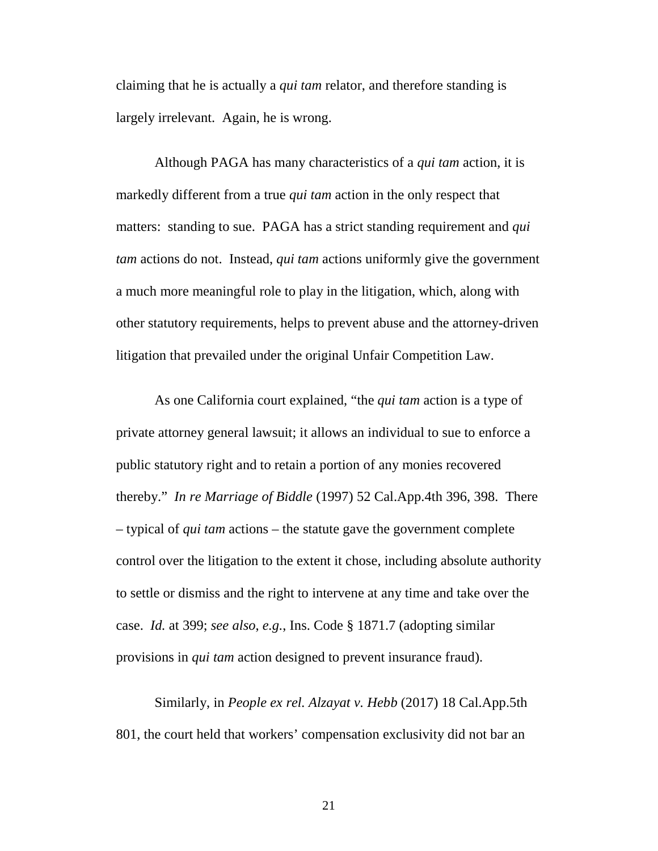claiming that he is actually a *qui tam* relator, and therefore standing is largely irrelevant. Again, he is wrong.

Although PAGA has many characteristics of a *qui tam* action, it is markedly different from a true *qui tam* action in the only respect that matters: standing to sue. PAGA has a strict standing requirement and *qui tam* actions do not. Instead, *qui tam* actions uniformly give the government a much more meaningful role to play in the litigation, which, along with other statutory requirements, helps to prevent abuse and the attorney-driven litigation that prevailed under the original Unfair Competition Law.

As one California court explained, "the *qui tam* action is a type of private attorney general lawsuit; it allows an individual to sue to enforce a public statutory right and to retain a portion of any monies recovered thereby." *In re Marriage of Biddle* (1997) 52 Cal.App.4th 396, 398. There – typical of *qui tam* actions – the statute gave the government complete control over the litigation to the extent it chose, including absolute authority to settle or dismiss and the right to intervene at any time and take over the case. *Id.* at 399; *see also*, *e.g.*, Ins. Code § 1871.7 (adopting similar provisions in *qui tam* action designed to prevent insurance fraud).

Similarly, in *People ex rel. Alzayat v. Hebb* (2017) 18 Cal.App.5th 801, the court held that workers' compensation exclusivity did not bar an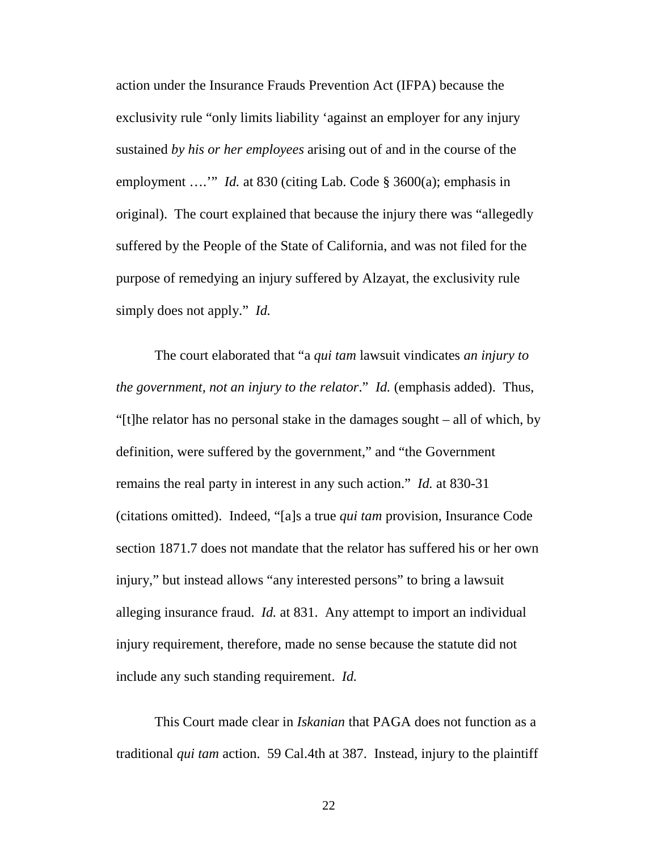action under the Insurance Frauds Prevention Act (IFPA) because the exclusivity rule "only limits liability 'against an employer for any injury sustained *by his or her employees* arising out of and in the course of the employment ...." *Id.* at 830 (citing Lab. Code § 3600(a); emphasis in original). The court explained that because the injury there was "allegedly suffered by the People of the State of California, and was not filed for the purpose of remedying an injury suffered by Alzayat, the exclusivity rule simply does not apply." *Id.*

The court elaborated that "a *qui tam* lawsuit vindicates *an injury to the government, not an injury to the relator*." *Id.* (emphasis added). Thus, "[t]he relator has no personal stake in the damages sought – all of which, by definition, were suffered by the government," and "the Government remains the real party in interest in any such action." *Id.* at 830-31 (citations omitted). Indeed, "[a]s a true *qui tam* provision, Insurance Code section 1871.7 does not mandate that the relator has suffered his or her own injury," but instead allows "any interested persons" to bring a lawsuit alleging insurance fraud. *Id.* at 831. Any attempt to import an individual injury requirement, therefore, made no sense because the statute did not include any such standing requirement. *Id.* 

This Court made clear in *Iskanian* that PAGA does not function as a traditional *qui tam* action. 59 Cal.4th at 387. Instead, injury to the plaintiff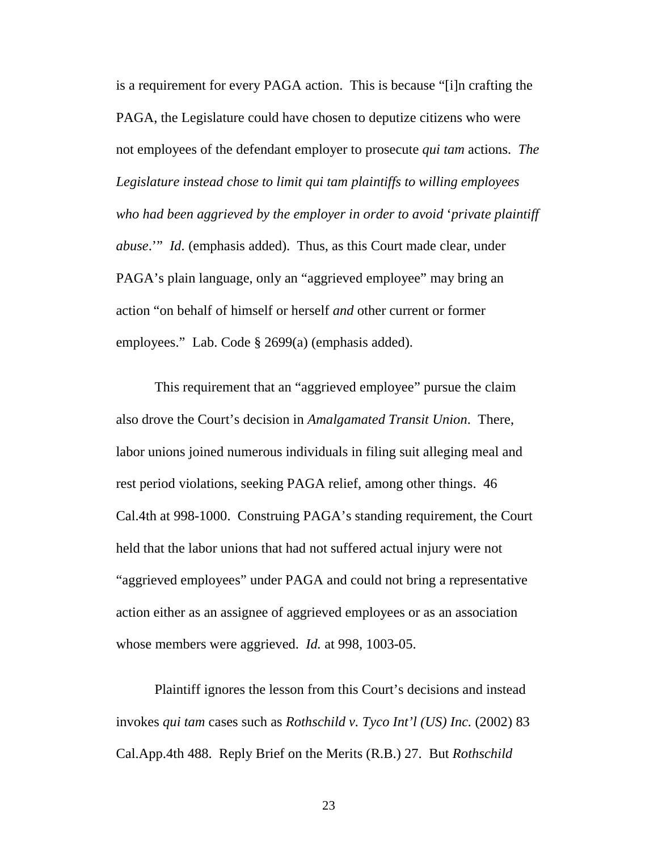is a requirement for every PAGA action. This is because "[i]n crafting the PAGA, the Legislature could have chosen to deputize citizens who were not employees of the defendant employer to prosecute *qui tam* actions. *The Legislature instead chose to limit qui tam plaintiffs to willing employees who had been aggrieved by the employer in order to avoid* '*private plaintiff abuse*.'" *Id.* (emphasis added). Thus, as this Court made clear, under PAGA's plain language, only an "aggrieved employee" may bring an action "on behalf of himself or herself *and* other current or former employees." Lab. Code § 2699(a) (emphasis added).

This requirement that an "aggrieved employee" pursue the claim also drove the Court's decision in *Amalgamated Transit Union*. There, labor unions joined numerous individuals in filing suit alleging meal and rest period violations, seeking PAGA relief, among other things. 46 Cal.4th at 998-1000. Construing PAGA's standing requirement, the Court held that the labor unions that had not suffered actual injury were not "aggrieved employees" under PAGA and could not bring a representative action either as an assignee of aggrieved employees or as an association whose members were aggrieved. *Id.* at 998, 1003-05.

Plaintiff ignores the lesson from this Court's decisions and instead invokes *qui tam* cases such as *Rothschild v. Tyco Int'l (US) Inc.* (2002) 83 Cal.App.4th 488. Reply Brief on the Merits (R.B.) 27. But *Rothschild*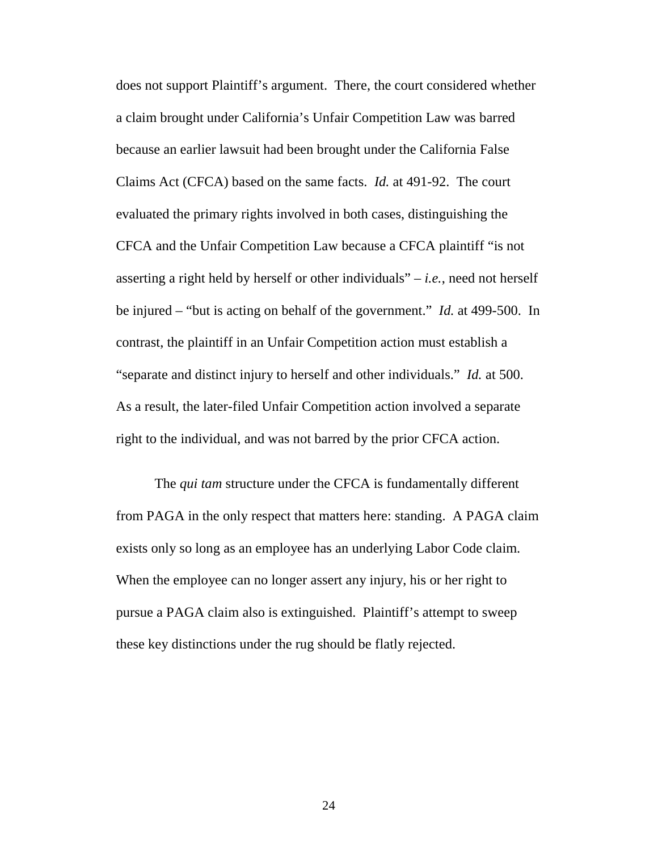does not support Plaintiff's argument. There, the court considered whether a claim brought under California's Unfair Competition Law was barred because an earlier lawsuit had been brought under the California False Claims Act (CFCA) based on the same facts. *Id.* at 491-92. The court evaluated the primary rights involved in both cases, distinguishing the CFCA and the Unfair Competition Law because a CFCA plaintiff "is not asserting a right held by herself or other individuals" – *i.e.*, need not herself be injured – "but is acting on behalf of the government." *Id.* at 499-500. In contrast, the plaintiff in an Unfair Competition action must establish a "separate and distinct injury to herself and other individuals." *Id.* at 500. As a result, the later-filed Unfair Competition action involved a separate right to the individual, and was not barred by the prior CFCA action.

The *qui tam* structure under the CFCA is fundamentally different from PAGA in the only respect that matters here: standing. A PAGA claim exists only so long as an employee has an underlying Labor Code claim. When the employee can no longer assert any injury, his or her right to pursue a PAGA claim also is extinguished. Plaintiff's attempt to sweep these key distinctions under the rug should be flatly rejected.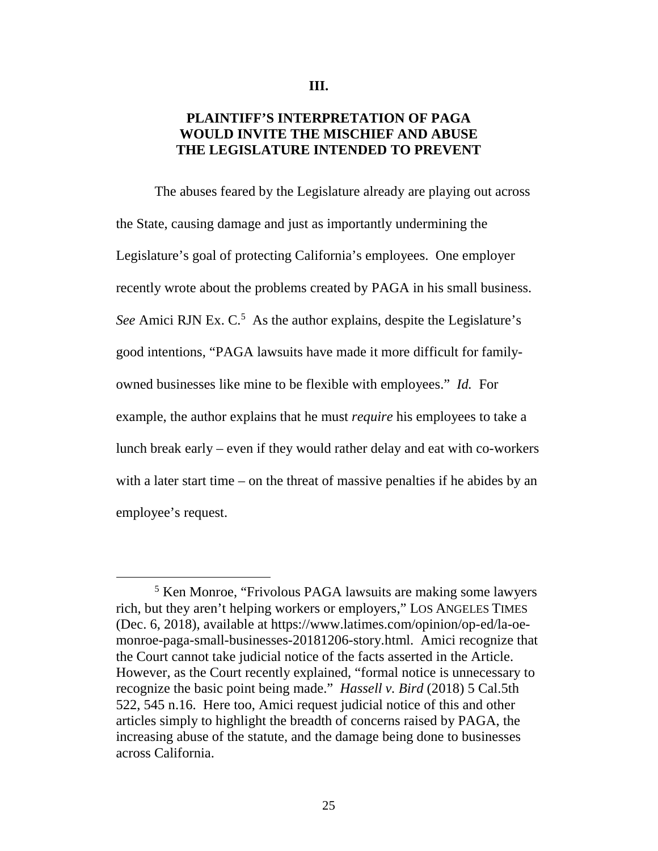#### **III.**

# **PLAINTIFF'S INTERPRETATION OF PAGA WOULD INVITE THE MISCHIEF AND ABUSE THE LEGISLATURE INTENDED TO PREVENT**

The abuses feared by the Legislature already are playing out across the State, causing damage and just as importantly undermining the Legislature's goal of protecting California's employees. One employer recently wrote about the problems created by PAGA in his small business. See Amici RJN Ex. C.<sup>5</sup> As the author explains, despite the Legislature's good intentions, "PAGA lawsuits have made it more difficult for familyowned businesses like mine to be flexible with employees." *Id.* For example, the author explains that he must *require* his employees to take a lunch break early – even if they would rather delay and eat with co-workers with a later start time – on the threat of massive penalties if he abides by an employee's request.

<sup>&</sup>lt;sup>5</sup> Ken Monroe, "Frivolous PAGA lawsuits are making some lawyers rich, but they aren't helping workers or employers," LOS ANGELES TIMES (Dec. 6, 2018), available at https://www.latimes.com/opinion/op-ed/la-oemonroe-paga-small-businesses-20181206-story.html. Amici recognize that the Court cannot take judicial notice of the facts asserted in the Article. However, as the Court recently explained, "formal notice is unnecessary to recognize the basic point being made." *Hassell v. Bird* (2018) 5 Cal.5th 522, 545 n.16. Here too, Amici request judicial notice of this and other articles simply to highlight the breadth of concerns raised by PAGA, the increasing abuse of the statute, and the damage being done to businesses across California.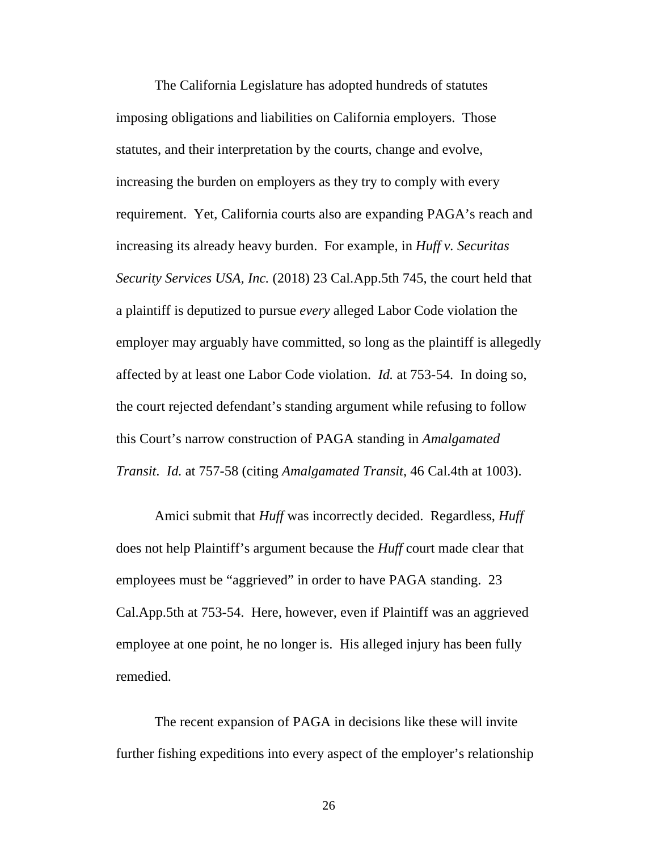The California Legislature has adopted hundreds of statutes imposing obligations and liabilities on California employers. Those statutes, and their interpretation by the courts, change and evolve, increasing the burden on employers as they try to comply with every requirement. Yet, California courts also are expanding PAGA's reach and increasing its already heavy burden. For example, in *Huff v. Securitas Security Services USA, Inc.* (2018) 23 Cal.App.5th 745, the court held that a plaintiff is deputized to pursue *every* alleged Labor Code violation the employer may arguably have committed, so long as the plaintiff is allegedly affected by at least one Labor Code violation. *Id.* at 753-54. In doing so, the court rejected defendant's standing argument while refusing to follow this Court's narrow construction of PAGA standing in *Amalgamated Transit*. *Id.* at 757-58 (citing *Amalgamated Transit*, 46 Cal.4th at 1003).

Amici submit that *Huff* was incorrectly decided. Regardless, *Huff* does not help Plaintiff's argument because the *Huff* court made clear that employees must be "aggrieved" in order to have PAGA standing. 23 Cal.App.5th at 753-54. Here, however, even if Plaintiff was an aggrieved employee at one point, he no longer is. His alleged injury has been fully remedied.

The recent expansion of PAGA in decisions like these will invite further fishing expeditions into every aspect of the employer's relationship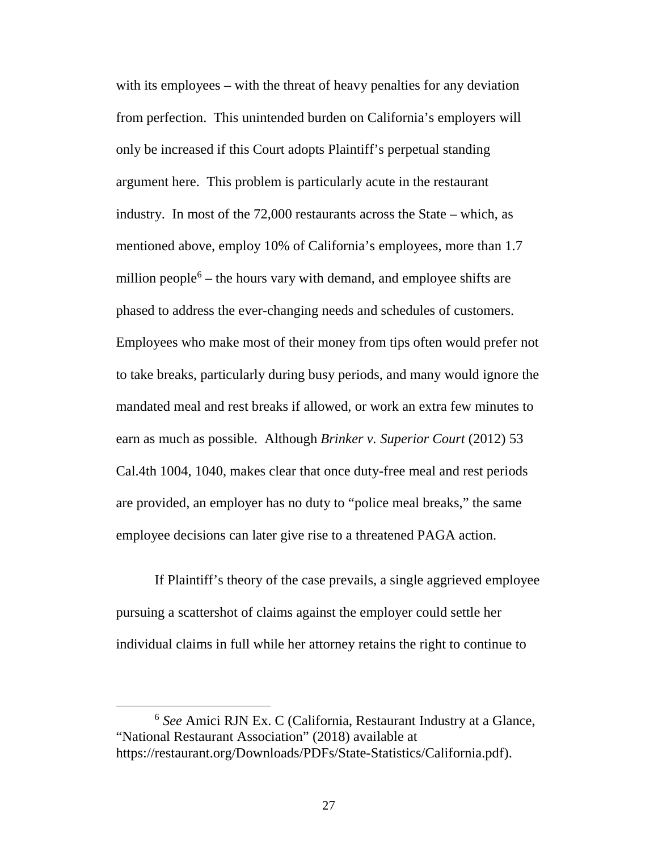with its employees – with the threat of heavy penalties for any deviation from perfection. This unintended burden on California's employers will only be increased if this Court adopts Plaintiff's perpetual standing argument here. This problem is particularly acute in the restaurant industry. In most of the 72,000 restaurants across the State – which, as mentioned above, employ 10% of California's employees, more than 1.7 million people $6$  – the hours vary with demand, and employee shifts are phased to address the ever-changing needs and schedules of customers. Employees who make most of their money from tips often would prefer not to take breaks, particularly during busy periods, and many would ignore the mandated meal and rest breaks if allowed, or work an extra few minutes to earn as much as possible. Although *Brinker v. Superior Court* (2012) 53 Cal.4th 1004, 1040, makes clear that once duty-free meal and rest periods are provided, an employer has no duty to "police meal breaks," the same employee decisions can later give rise to a threatened PAGA action.

If Plaintiff's theory of the case prevails, a single aggrieved employee pursuing a scattershot of claims against the employer could settle her individual claims in full while her attorney retains the right to continue to

<sup>6</sup> *See* Amici RJN Ex. C (California, Restaurant Industry at a Glance, "National Restaurant Association" (2018) available at https://restaurant.org/Downloads/PDFs/State-Statistics/California.pdf).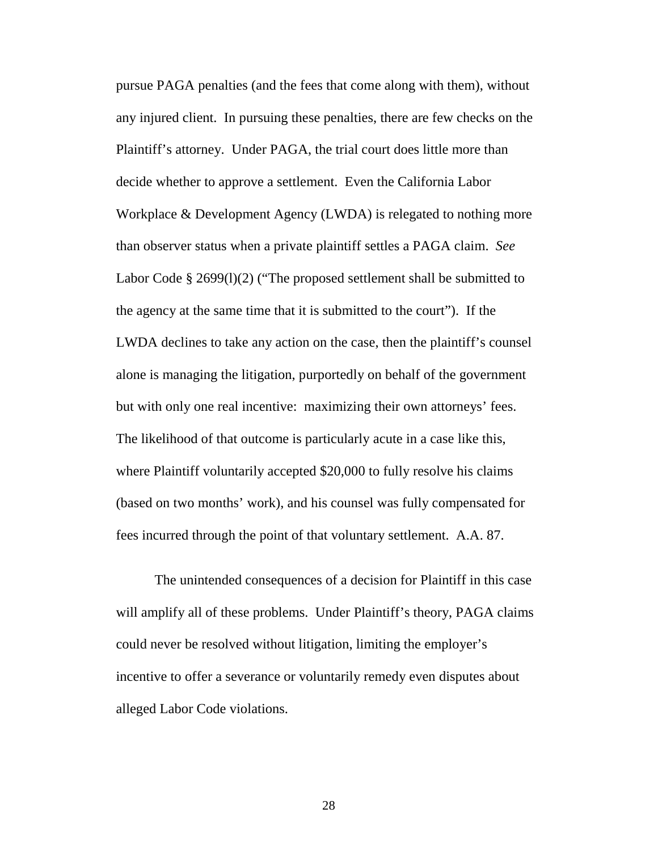pursue PAGA penalties (and the fees that come along with them), without any injured client. In pursuing these penalties, there are few checks on the Plaintiff's attorney. Under PAGA, the trial court does little more than decide whether to approve a settlement. Even the California Labor Workplace & Development Agency (LWDA) is relegated to nothing more than observer status when a private plaintiff settles a PAGA claim. *See* Labor Code § 2699(1)(2) ("The proposed settlement shall be submitted to the agency at the same time that it is submitted to the court"). If the LWDA declines to take any action on the case, then the plaintiff's counsel alone is managing the litigation, purportedly on behalf of the government but with only one real incentive: maximizing their own attorneys' fees. The likelihood of that outcome is particularly acute in a case like this, where Plaintiff voluntarily accepted \$20,000 to fully resolve his claims (based on two months' work), and his counsel was fully compensated for fees incurred through the point of that voluntary settlement. A.A. 87.

The unintended consequences of a decision for Plaintiff in this case will amplify all of these problems. Under Plaintiff's theory, PAGA claims could never be resolved without litigation, limiting the employer's incentive to offer a severance or voluntarily remedy even disputes about alleged Labor Code violations.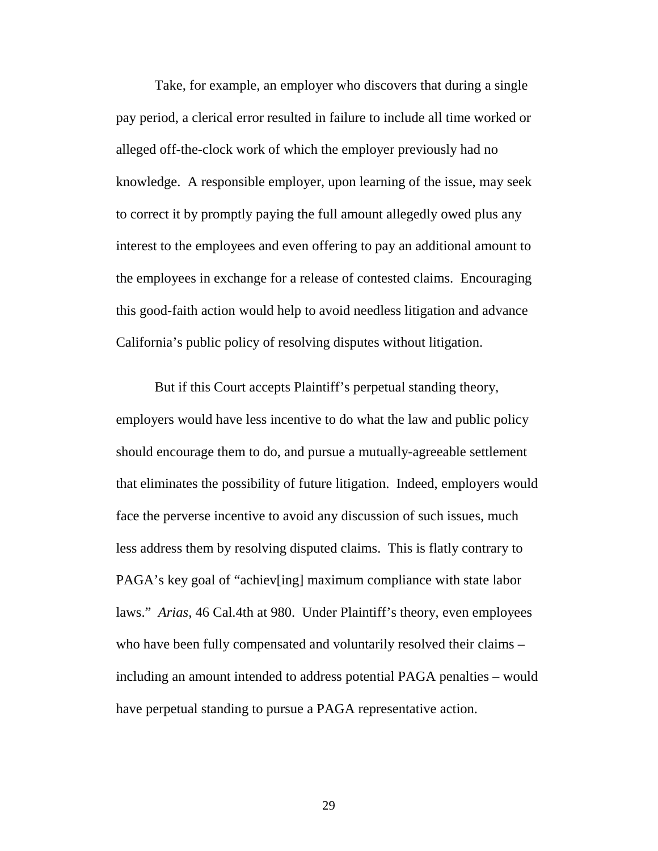Take, for example, an employer who discovers that during a single pay period, a clerical error resulted in failure to include all time worked or alleged off-the-clock work of which the employer previously had no knowledge. A responsible employer, upon learning of the issue, may seek to correct it by promptly paying the full amount allegedly owed plus any interest to the employees and even offering to pay an additional amount to the employees in exchange for a release of contested claims. Encouraging this good-faith action would help to avoid needless litigation and advance California's public policy of resolving disputes without litigation.

But if this Court accepts Plaintiff's perpetual standing theory, employers would have less incentive to do what the law and public policy should encourage them to do, and pursue a mutually-agreeable settlement that eliminates the possibility of future litigation. Indeed, employers would face the perverse incentive to avoid any discussion of such issues, much less address them by resolving disputed claims. This is flatly contrary to PAGA's key goal of "achiev[ing] maximum compliance with state labor laws." *Arias*, 46 Cal.4th at 980. Under Plaintiff's theory, even employees who have been fully compensated and voluntarily resolved their claims – including an amount intended to address potential PAGA penalties – would have perpetual standing to pursue a PAGA representative action.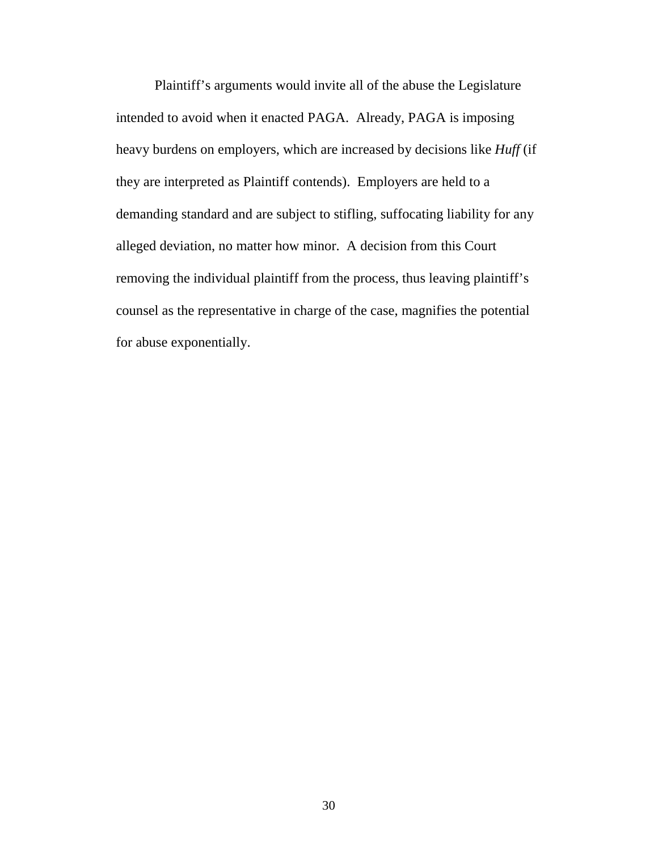Plaintiff's arguments would invite all of the abuse the Legislature intended to avoid when it enacted PAGA. Already, PAGA is imposing heavy burdens on employers, which are increased by decisions like *Huff* (if they are interpreted as Plaintiff contends). Employers are held to a demanding standard and are subject to stifling, suffocating liability for any alleged deviation, no matter how minor. A decision from this Court removing the individual plaintiff from the process, thus leaving plaintiff's counsel as the representative in charge of the case, magnifies the potential for abuse exponentially.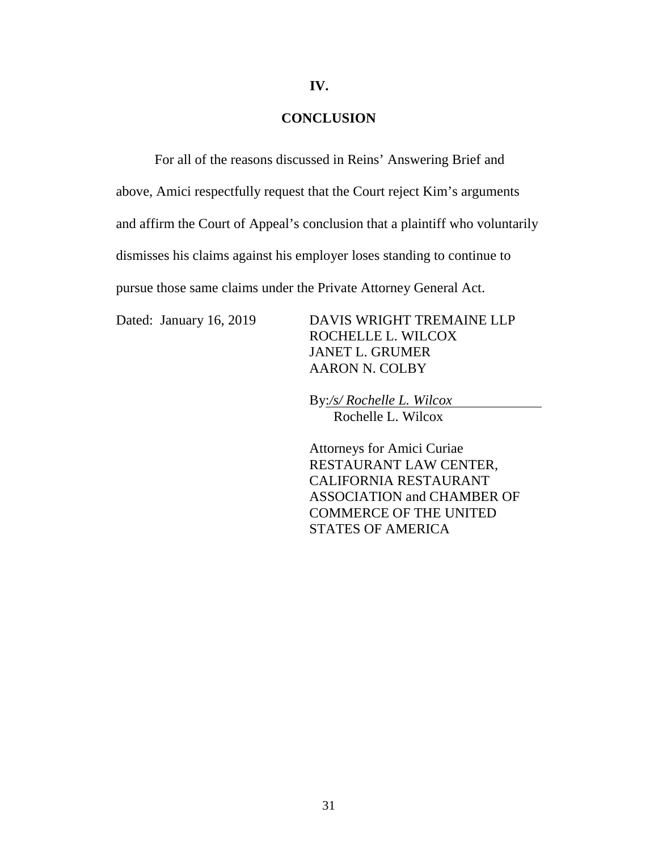#### **IV.**

#### **CONCLUSION**

For all of the reasons discussed in Reins' Answering Brief and above, Amici respectfully request that the Court reject Kim's arguments and affirm the Court of Appeal's conclusion that a plaintiff who voluntarily dismisses his claims against his employer loses standing to continue to pursue those same claims under the Private Attorney General Act.

Dated: January 16, 2019 DAVIS WRIGHT TREMAINE LLP ROCHELLE L. WILCOX JANET L. GRUMER AARON N. COLBY

> By:*/s/ Rochelle L. Wilcox*  Rochelle L. Wilcox

Attorneys for Amici Curiae RESTAURANT LAW CENTER, CALIFORNIA RESTAURANT ASSOCIATION and CHAMBER OF COMMERCE OF THE UNITED STATES OF AMERICA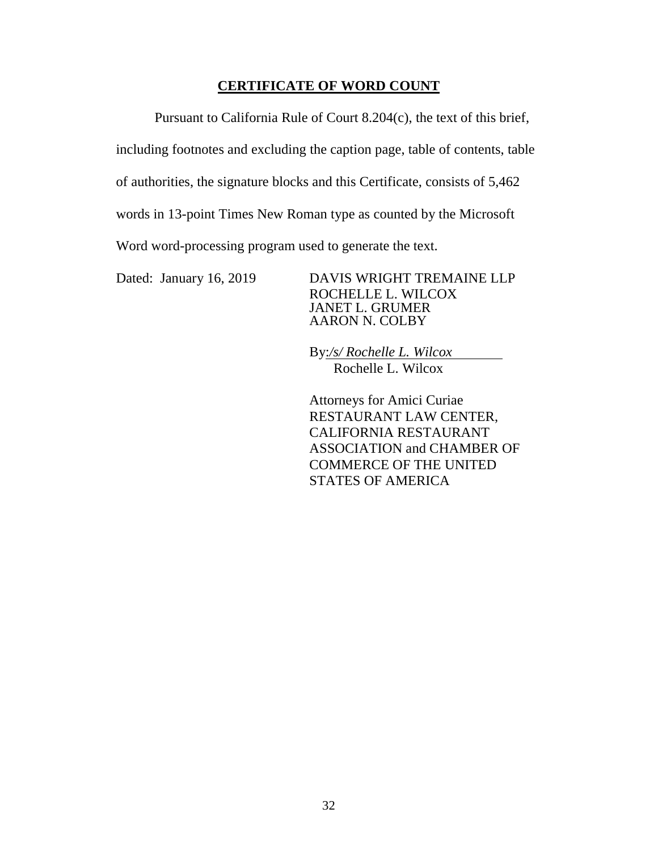# **CERTIFICATE OF WORD COUNT**

Pursuant to California Rule of Court 8.204(c), the text of this brief, including footnotes and excluding the caption page, table of contents, table of authorities, the signature blocks and this Certificate, consists of 5,462 words in 13-point Times New Roman type as counted by the Microsoft Word word-processing program used to generate the text.

Dated: January 16, 2019 DAVIS WRIGHT TREMAINE LLP ROCHELLE L. WILCOX JANET L. GRUMER AARON N. COLBY

> By:*/s/ Rochelle L. Wilcox*  Rochelle L. Wilcox

Attorneys for Amici Curiae RESTAURANT LAW CENTER, CALIFORNIA RESTAURANT ASSOCIATION and CHAMBER OF COMMERCE OF THE UNITED STATES OF AMERICA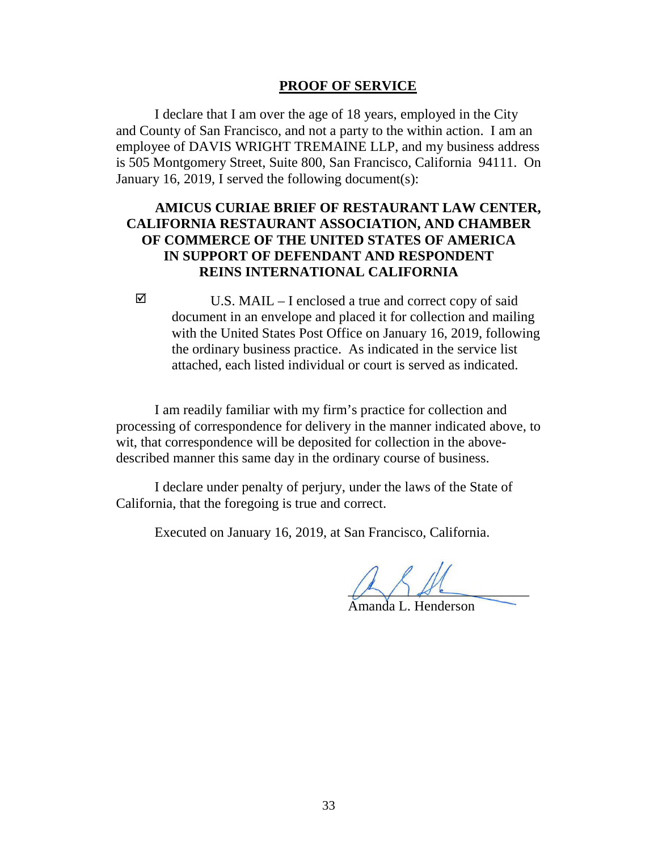#### **PROOF OF SERVICE**

I declare that I am over the age of 18 years, employed in the City and County of San Francisco, and not a party to the within action. I am an employee of DAVIS WRIGHT TREMAINE LLP, and my business address is 505 Montgomery Street, Suite 800, San Francisco, California 94111. On January 16, 2019, I served the following document(s):

### **AMICUS CURIAE BRIEF OF RESTAURANT LAW CENTER, CALIFORNIA RESTAURANT ASSOCIATION, AND CHAMBER OF COMMERCE OF THE UNITED STATES OF AMERICA IN SUPPORT OF DEFENDANT AND RESPONDENT REINS INTERNATIONAL CALIFORNIA**

 $\boxtimes$  U.S. MAIL – I enclosed a true and correct copy of said document in an envelope and placed it for collection and mailing with the United States Post Office on January 16, 2019, following the ordinary business practice. As indicated in the service list attached, each listed individual or court is served as indicated.

I am readily familiar with my firm's practice for collection and processing of correspondence for delivery in the manner indicated above, to wit, that correspondence will be deposited for collection in the abovedescribed manner this same day in the ordinary course of business.

I declare under penalty of perjury, under the laws of the State of California, that the foregoing is true and correct.

Executed on January 16, 2019, at San Francisco, California.

 $\sqrt{2}$ Amanda L. Henderson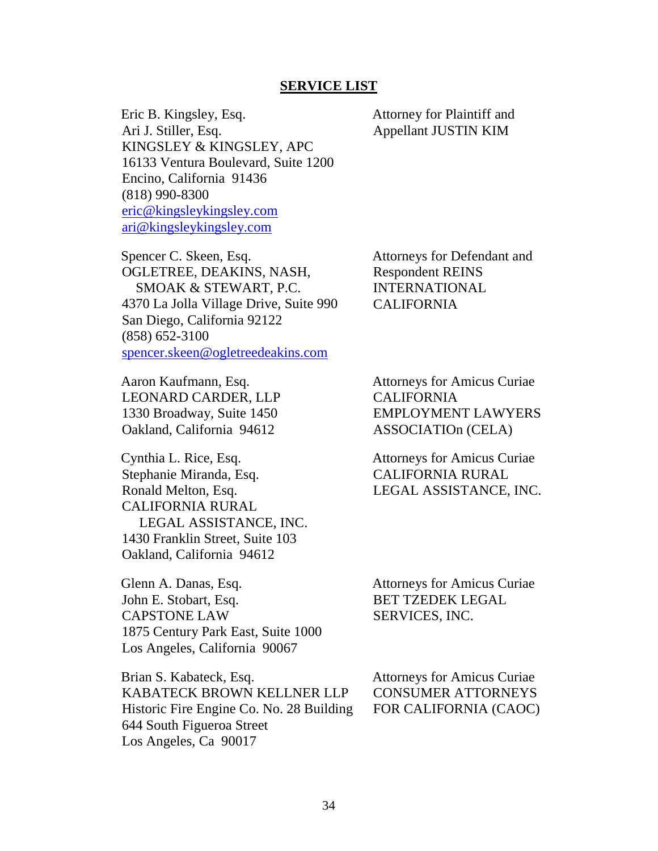#### **SERVICE LIST**

Eric B. Kingsley, Esq. Ari J. Stiller, Esq. KINGSLEY & KINGSLEY, APC 16133 Ventura Boulevard, Suite 1200 Encino, California 91436 (818) 990-8300 eric@kingsleykingsley.com ari@kingsleykingsley.com

Spencer C. Skeen, Esq. OGLETREE, DEAKINS, NASH, SMOAK & STEWART, P.C. 4370 La Jolla Village Drive, Suite 990 San Diego, California 92122 (858) 652-3100 spencer.skeen@ogletreedeakins.com

Attorneys for Defendant and Respondent REINS INTERNATIONAL CALIFORNIA

Attorney for Plaintiff and Appellant JUSTIN KIM

Aaron Kaufmann, Esq. LEONARD CARDER, LLP 1330 Broadway, Suite 1450 Oakland, California 94612

Cynthia L. Rice, Esq. Stephanie Miranda, Esq. Ronald Melton, Esq. CALIFORNIA RURAL LEGAL ASSISTANCE, INC. 1430 Franklin Street, Suite 103 Oakland, California 94612

Glenn A. Danas, Esq. John E. Stobart, Esq. CAPSTONE LAW 1875 Century Park East, Suite 1000 Los Angeles, California 90067

Brian S. Kabateck, Esq. KABATECK BROWN KELLNER LLP Historic Fire Engine Co. No. 28 Building 644 South Figueroa Street Los Angeles, Ca 90017

Attorneys for Amicus Curiae CALIFORNIA EMPLOYMENT LAWYERS ASSOCIATIOn (CELA)

Attorneys for Amicus Curiae CALIFORNIA RURAL LEGAL ASSISTANCE, INC.

Attorneys for Amicus Curiae BET TZEDEK LEGAL SERVICES, INC.

Attorneys for Amicus Curiae CONSUMER ATTORNEYS FOR CALIFORNIA (CAOC)